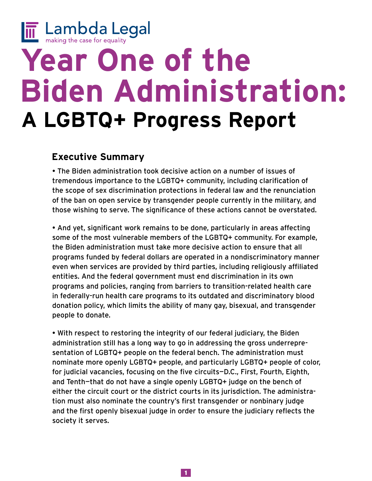

# **Year One of the Biden Administration: A LGBTQ+ Progress Report**

## **Executive Summary**

• The Biden administration took decisive action on a number of issues of tremendous importance to the LGBTQ+ community, including clarification of the scope of sex discrimination protections in federal law and the renunciation of the ban on open service by transgender people currently in the military, and those wishing to serve. The significance of these actions cannot be overstated.

• And yet, significant work remains to be done, particularly in areas affecting some of the most vulnerable members of the LGBTQ+ community. For example, the Biden administration must take more decisive action to ensure that all programs funded by federal dollars are operated in a nondiscriminatory manner even when services are provided by third parties, including religiously affiliated entities. And the federal government must end discrimination in its own programs and policies, ranging from barriers to transition-related health care in federally-run health care programs to its outdated and discriminatory blood donation policy, which limits the ability of many gay, bisexual, and transgender people to donate.

• With respect to restoring the integrity of our federal judiciary, the Biden administration still has a long way to go in addressing the gross underrepresentation of LGBTQ+ people on the federal bench. The administration must nominate more openly LGBTQ+ people, and particularly LGBTQ+ people of color, for judicial vacancies, focusing on the five circuits—D.C., First, Fourth, Eighth, and Tenth—that do not have a single openly LGBTQ+ judge on the bench of either the circuit court or the district courts in its jurisdiction. The administration must also nominate the country's first transgender or nonbinary judge and the first openly bisexual judge in order to ensure the judiciary reflects the society it serves.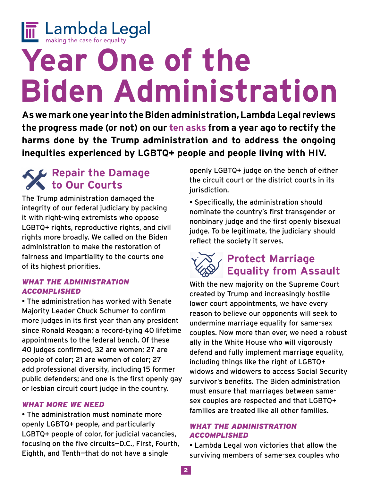

# **Year One of the Biden Administration**

**As we mark one year into the Biden administration, Lambda Legal reviews the progress made (or not) on our [ten asks](https://www.lambdalegal.org/blog/20201116_10-things-lgbtq-hiv-biden-harris-administration) from a year ago to rectify the harms done by the Trump administration and to address the ongoing inequities experienced by LGBTQ+ people and people living with HIV.**

# **Repair the Damage to Our Courts**

The Trump administration damaged the integrity of our federal judiciary by packing it with right-wing extremists who oppose LGBTQ+ rights, reproductive rights, and civil rights more broadly. We called on the Biden administration to make the restoration of fairness and impartiality to the courts one of its highest priorities.

## *What the administration accomplished*

• The administration has worked with Senate Majority Leader Chuck Schumer to confirm more judges in its first year than any president since Ronald Reagan; a record-tying 40 lifetime appointments to the federal bench. Of these 40 judges confirmed, 32 are women; 27 are people of color; 21 are women of color; 27 add professional diversity, including 15 former public defenders; and one is the first openly gay or lesbian circuit court judge in the country.

## *What more we need*

• The administration must nominate more openly LGBTQ+ people, and particularly LGBTQ+ people of color, for judicial vacancies, focusing on the five circuits—D.C., First, Fourth, Eighth, and Tenth—that do not have a single

openly LGBTQ+ judge on the bench of either the circuit court or the district courts in its jurisdiction.

• Specifically, the administration should nominate the country's first transgender or nonbinary judge and the first openly bisexual judge. To be legitimate, the judiciary should reflect the society it serves.

# **Protect Marriage Equality from Assault**

With the new majority on the Supreme Court created by Trump and increasingly hostile lower court appointments, we have every reason to believe our opponents will seek to undermine marriage equality for same-sex couples. Now more than ever, we need a robust ally in the White House who will vigorously defend and fully implement marriage equality, including things like the right of LGBTQ+ widows and widowers to access Social Security survivor's benefits. The Biden administration must ensure that marriages between samesex couples are respected and that LGBTQ+ families are treated like all other families.

## *What the administration accomplished*

• Lambda Legal won victories that allow the surviving members of same-sex couples who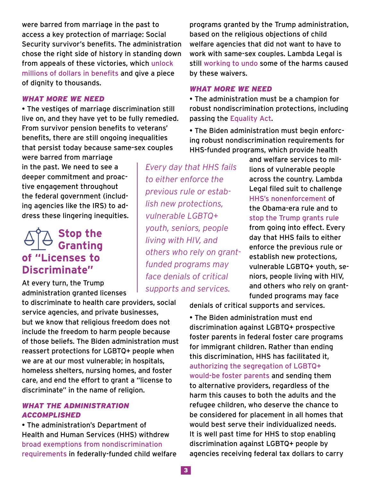were barred from marriage in the past to access a key protection of marriage: Social Security survivor's benefits. The administration chose the right side of history in standing down from appeals of these victories, which [unlock](https://www.lambdalegal.org/blog/20210219_ely-thornton-class-info)  [millions of dollars in benefits](https://www.lambdalegal.org/blog/20210219_ely-thornton-class-info) and give a piece of dignity to thousands.

#### *What more we need*

• The vestiges of marriage discrimination still live on, and they have yet to be fully remedied. From survivor pension benefits to veterans' benefits, there are still ongoing inequalities that persist today because same-sex couples

were barred from marriage in the past. We need to see a deeper commitment and proactive engagement throughout the federal government (including agencies like the IRS) to address these lingering inequities.

## **Stop the Granting of "Licenses to Discriminate"**

At every turn, the Trump administration granted licenses

to discriminate to health care providers, social service agencies, and private businesses, but we know that religious freedom does not include the freedom to harm people because of those beliefs. The Biden administration must reassert protections for LGBTQ+ people when we are at our most vulnerable; in hospitals, homeless shelters, nursing homes, and foster care, and end the effort to grant a "license to discriminate" in the name of religion.

#### *What the administration accomplished*

• The administration's Department of Health and Human Services (HHS) withdrew [broad exemptions from nondiscrimination](https://www.hhs.gov/about/news/2021/11/18/hhs-takes-action-to-prevent-discrimination-and-strengthen-civil-rights.html)  [requirements](https://www.hhs.gov/about/news/2021/11/18/hhs-takes-action-to-prevent-discrimination-and-strengthen-civil-rights.html) in federally-funded child welfare programs granted by the Trump administration, based on the religious objections of child welfare agencies that did not want to have to work with same-sex couples. Lambda Legal is still [working to undo](https://www.lambdalegal.org/in-court/cases/rogers-v-us-department-health-human-services) some of the harms caused by these waivers.

#### *What more we need*

• The administration must be a champion for robust nondiscrimination protections, including passing the [Equality Act](https://www.lambdalegal.org/issues/equality-act).

• The Biden administration must begin enforcing robust nondiscrimination requirements for HHS-funded programs, which provide health

*Every day that HHS fails to either enforce the previous rule or establish new protections, vulnerable LGBTQ+ youth, seniors, people living with HIV, and others who rely on grantfunded programs may face denials of critical supports and services.*

and welfare services to millions of vulnerable people across the country. Lambda Legal filed suit to challenge [HHS's nonenforcement](https://www.lambdalegal.org/in-court/cases/family-equality-v-azar) of the Obama-era rule and to [stop the Trump grants rule](https://www.lambdalegal.org/in-court/cases/facing-foster-care-in-alaska-v-hhs) from going into effect. Every day that HHS fails to either enforce the previous rule or establish new protections, vulnerable LGBTQ+ youth, seniors, people living with HIV, and others who rely on grantfunded programs may face

denials of critical supports and services.

• The Biden administration must end discrimination against LGBTQ+ prospective foster parents in federal foster care programs for immigrant children. Rather than ending this discrimination, HHS has facilitated it, [authorizing the segregation of LGBTQ+](https://www.lambdalegal.org/blog/marouf_us_20211117_lambda-legal-and-au-reject-government-attempt-to-duck-lgbt-nondiscrimination)  [would-be foster parents](https://www.lambdalegal.org/blog/marouf_us_20211117_lambda-legal-and-au-reject-government-attempt-to-duck-lgbt-nondiscrimination) and sending them to alternative providers, regardless of the harm this causes to both the adults and the refugee children, who deserve the chance to be considered for placement in all homes that would best serve their individualized needs. It is well past time for HHS to stop enabling discrimination against LGBTQ+ people by agencies receiving federal tax dollars to carry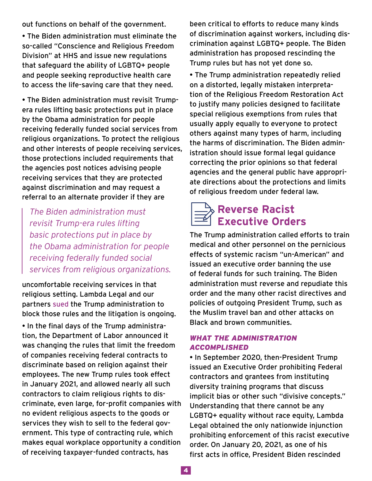out functions on behalf of the government.

• The Biden administration must eliminate the so-called "Conscience and Religious Freedom Division" at HHS and issue new regulations that safeguard the ability of LGBTQ+ people and people seeking reproductive health care to access the life-saving care that they need.

• The Biden administration must revisit Trumpera rules lifting basic protections put in place by the Obama administration for people receiving federally funded social services from religious organizations. To protect the religious and other interests of people receiving services, those protections included requirements that the agencies post notices advising people receiving services that they are protected against discrimination and may request a referral to an alternate provider if they are

*The Biden administration must revisit Trump-era rules lifting basic protections put in place by the Obama administration for people receiving federally funded social services from religious organizations.*

uncomfortable receiving services in that religious setting. Lambda Legal and our partners [sued](https://www.lambdalegal.org/in-court/cases/mazon-v-hhs) the Trump administration to block those rules and the litigation is ongoing.

• In the final days of the Trump administration, the Department of Labor announced it was changing the rules that limit the freedom of companies receiving federal contracts to discriminate based on religion against their employees. The new Trump rules took effect in January 2021, and allowed nearly all such contractors to claim religious rights to discriminate, even large, for-profit companies with no evident religious aspects to the goods or services they wish to sell to the federal government. This type of contracting rule, which makes equal workplace opportunity a condition of receiving taxpayer-funded contracts, has

been critical to efforts to reduce many kinds of discrimination against workers, including discrimination against LGBTQ+ people. The Biden administration has proposed rescinding the Trump rules but has not yet done so.

• The Trump administration repeatedly relied on a distorted, legally mistaken interpretation of the Religious Freedom Restoration Act to justify many policies designed to facilitate special religious exemptions from rules that usually apply equally to everyone to protect others against many types of harm, including the harms of discrimination. The Biden administration should issue formal legal guidance correcting the prior opinions so that federal agencies and the general public have appropriate directions about the protections and limits of religious freedom under federal law.

# **Reverse Racist Executive Orders**

The Trump administration called efforts to train medical and other personnel on the pernicious effects of systemic racism "un-American" and issued an executive order banning the use of federal funds for such training. The Biden administration must reverse and repudiate this order and the many other racist directives and policies of outgoing President Trump, such as the Muslim travel ban and other attacks on Black and brown communities.

## *What the administration accomplished*

• In September 2020, then-President Trump issued an Executive Order prohibiting Federal contractors and grantees from instituting diversity training programs that discuss implicit bias or other such "divisive concepts." Understanding that there cannot be any LGBTQ+ equality without race equity, Lambda Legal obtained the only nationwide injunction prohibiting enforcement of this racist executive order. On January 20, 2021, as one of his first acts in office, President Biden rescinded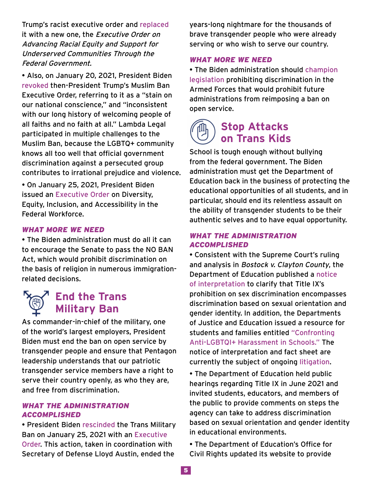Trump's racist executive order and [replaced](https://www.whitehouse.gov/briefing-room/presidential-actions/2021/01/20/executive-order-advancing-racial-equity-and-support-for-underserved-communities-through-the-federal-government/) it with a new one, the Executive Order on Advancing Racial Equity and Support for Underserved Communities Through the Federal Government.

• Also, on January 20, 2021, President Biden [revoked](https://www.whitehouse.gov/briefing-room/presidential-actions/2021/01/20/proclamation-ending-discriminatory-bans-on-entry-to-the-united-states/) then-President Trump's Muslim Ban Executive Order, referring to it as a "stain on our national conscience," and "inconsistent with our long history of welcoming people of all faiths and no faith at all." Lambda Legal participated in multiple challenges to the Muslim Ban, because the LGBTQ+ community knows all too well that official government discrimination against a persecuted group contributes to irrational prejudice and violence.

• On January 25, 2021, President Biden issued an [Executive Order](https://www.whitehouse.gov/briefing-room/statements-releases/2021/06/25/fact-sheet-president-biden-signs-executive-order-advancing-diversity-equity-inclusion-and-accessibility-in-the-federal-government/) on Diversity, Equity, Inclusion, and Accessibility in the Federal Workforce.

## *What more we need*

• The Biden administration must do all it can to encourage the Senate to pass the NO BAN Act, which would prohibit discrimination on the basis of religion in numerous immigrationrelated decisions.

## **End the Trans Military Ban**

As commander-in-chief of the military, one of the world's largest employers, President Biden must end the ban on open service by transgender people and ensure that Pentagon leadership understands that our patriotic transgender service members have a right to serve their country openly, as who they are, and free from discrimination.

#### *What the administration accomplished*

• President Biden [rescinded](https://www.lambdalegal.org/blog/20210125_biden-rescinds-transgender-military-ban) the Trans Military Ban on January 25, 2021 with an [Executive](https://www.whitehouse.gov/briefing-room/presidential-actions/2021/01/25/executive-order-on-enabling-all-qualified-americans-to-serve-their-country-in-uniform/)  [Order.](https://www.whitehouse.gov/briefing-room/presidential-actions/2021/01/25/executive-order-on-enabling-all-qualified-americans-to-serve-their-country-in-uniform/) This action, taken in coordination with Secretary of Defense Lloyd Austin, ended the

years-long nightmare for the thousands of brave transgender people who were already serving or who wish to serve our country.

#### *What more we need*

• The Biden administration should [champion](https://www.congress.gov/bill/116th-congress/senate-bill/373/text?q=%7B%22search%22%3A%5B%22gender+identity+armed+forces%22%2C%22gender%22%2C%22identity%22%2C%22armed%22%2C%22forces%22%5D%7D&r=2&s=5)  [legislation](https://www.congress.gov/bill/116th-congress/senate-bill/373/text?q=%7B%22search%22%3A%5B%22gender+identity+armed+forces%22%2C%22gender%22%2C%22identity%22%2C%22armed%22%2C%22forces%22%5D%7D&r=2&s=5) prohibiting discrimination in the Armed Forces that would prohibit future administrations from reimposing a ban on open service.

## **Stop Attacks on Trans Kids**

School is tough enough without bullying from the federal government. The Biden administration must get the Department of Education back in the business of protecting the educational opportunities of all students, and in particular, should end its relentless assault on the ability of transgender students to be their authentic selves and to have equal opportunity.

#### *What the administration accomplished*

• Consistent with the Supreme Court's ruling and analysis in Bostock v. Clayton County, the Department of Education published a [notice](https://www.govinfo.gov/content/pkg/FR-2021-06-22/pdf/2021-13058.pdf)  [of interpretation](https://www.govinfo.gov/content/pkg/FR-2021-06-22/pdf/2021-13058.pdf) to clarify that Title IX's prohibition on sex discrimination encompasses discrimination based on sexual orientation and gender identity. In addition, the Departments of Justice and Education issued a resource for students and families entitled ["Confronting](https://www2.ed.gov/about/offices/list/ocr/docs/ocr-factsheet-tix-202106.pdf)  [Anti-LGBTQI+ Harassment in Schools."](https://www2.ed.gov/about/offices/list/ocr/docs/ocr-factsheet-tix-202106.pdf) The notice of interpretation and fact sheet are currently the subject of ongoing [litigation.](https://www.tn.gov/content/dam/tn/attorneygeneral/documents/pr/2021/pr21-31-complaint.pdf)

• The Department of Education held public hearings regarding Title IX in June 2021 and invited students, educators, and members of the public to provide comments on steps the agency can take to address discrimination based on sexual orientation and gender identity in educational environments.

• The Department of Education's Office for Civil Rights updated its website to provide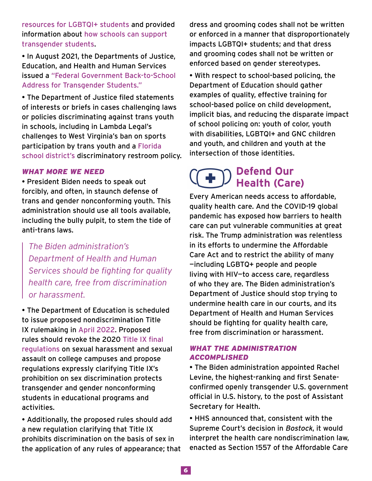[resources for LGBTQI+ students](https://www2.ed.gov/about/offices/list/ocr/lgbt.html) and provided information about [how schools can support](https://www2.ed.gov/about/offices/list/ocr/docs/ed-factsheet-transgender-202106.pdf)  [transgender students](https://www2.ed.gov/about/offices/list/ocr/docs/ed-factsheet-transgender-202106.pdf).

• In August 2021, the Departments of Justice, Education, and Health and Human Services issued a ["Federal Government Back-to-School](https://www2.ed.gov/about/offices/list/ocr/lgbt.html)  [Address for Transgender Students."](https://www2.ed.gov/about/offices/list/ocr/lgbt.html)

• The Department of Justice filed statements of interests or briefs in cases challenging laws or policies discriminating against trans youth in schools, including in Lambda Legal's challenges to West Virginia's ban on sports participation by trans youth and a [Florida](https://www.lambdalegal.org/in-court/cases/fl_adams-v-school-board-st-johns-county)  [school district's](https://www.lambdalegal.org/in-court/cases/fl_adams-v-school-board-st-johns-county) discriminatory restroom policy.

## *What more we need*

• President Biden needs to speak out forcibly, and often, in staunch defense of trans and gender nonconforming youth. This administration should use all tools available, including the bully pulpit, to stem the tide of anti-trans laws.

*The Biden administration's Department of Health and Human Services should be fighting for quality health care, free from discrimination or harassment.* 

• The Department of Education is scheduled to issue proposed nondiscrimination Title IX rulemaking in [April 2022](https://www.reginfo.gov/public/do/eAgendaViewRule?pubId=202110&RIN=1870-AA16). Proposed rules should revoke the 2020 [Title IX final](https://www.insidehighered.com/news/2020/05/07/education-department-releases-final-title-ix-regulations)  [regulations](https://www.insidehighered.com/news/2020/05/07/education-department-releases-final-title-ix-regulations) on sexual harassment and sexual assault on college campuses and propose regulations expressly clarifying Title IX's prohibition on sex discrimination protects transgender and gender nonconforming students in educational programs and activities.

• Additionally, the proposed rules should add a new regulation clarifying that Title IX prohibits discrimination on the basis of sex in the application of any rules of appearance; that dress and grooming codes shall not be written or enforced in a manner that disproportionately impacts LGBTQI+ students; and that dress and grooming codes shall not be written or enforced based on gender stereotypes.

• With respect to school-based policing, the Department of Education should gather examples of quality, effective training for school-based police on child development, implicit bias, and reducing the disparate impact of school policing on: youth of color, youth with disabilities, LGBTQI+ and GNC children and youth, and children and youth at the intersection of those identities.

## **Defend Our Health (Care)**

Every American needs access to affordable, quality health care. And the COVID-19 global pandemic has exposed how barriers to health care can put vulnerable communities at great risk. The Trump administration was relentless in its efforts to undermine the Affordable Care Act and to restrict the ability of many —including LGBTQ+ people and people living with HIV—to access care, regardless of who they are. The Biden administration's Department of Justice should stop trying to undermine health care in our courts, and its Department of Health and Human Services should be fighting for quality health care, free from discrimination or harassment.

## *What the administration accomplished*

• The Biden administration appointed Rachel Levine, the highest-ranking and first Senateconfirmed openly transgender U.S. government official in U.S. history, to the post of Assistant Secretary for Health.

• HHS announced that, consistent with the Supreme Court's decision in Bostock, it would interpret the health care nondiscrimination law, enacted as Section 1557 of the Affordable Care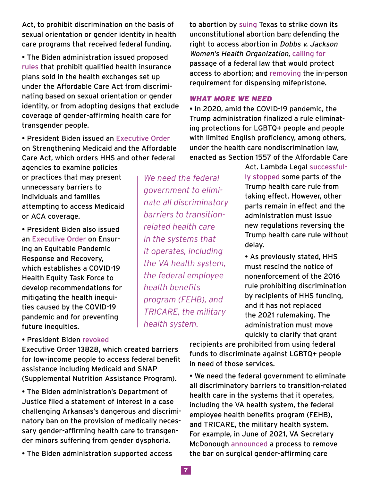Act, to prohibit discrimination on the basis of sexual orientation or gender identity in health care programs that received federal funding.

• The Biden administration issued proposed [rules](https://public-inspection.federalregister.gov/2021-28317.pdf) that prohibit qualified health insurance plans sold in the health exchanges set up under the Affordable Care Act from discriminating based on sexual orientation or gender identity, or from adopting designs that exclude coverage of gender-affirming health care for transgender people.

• President Biden issued an [Executive Order](https://www.whitehouse.gov/briefing-room/presidential-actions/2021/01/28/executive-order-on-strengthening-medicaid-and-the-affordable-care-act/) on Strengthening Medicaid and the Affordable Care Act, which orders HHS and other federal

agencies to examine policies or practices that may present unnecessary barriers to individuals and families attempting to access Medicaid or ACA coverage.

• President Biden also issued an [Executive Order](https://www.whitehouse.gov/briefing-room/presidential-actions/2021/01/21/executive-order-ensuring-an-equitable-pandemic-response-and-recovery/) on Ensuring an Equitable Pandemic Response and Recovery, which establishes a COVID-19 Health Equity Task Force to develop recommendations for mitigating the health inequities caused by the COVID-19 pandemic and for preventing future inequities.

*We need the federal government to eliminate all discriminatory barriers to transitionrelated health care in the systems that it operates, including the VA health system, the federal employee health benefits program (FEHB), and TRICARE, the military health system.*

to abortion by [suing](https://www.reuters.com/world/us/us-justice-dept-announce-civil-rights-case-after-texas-abortion-ban-takes-effect-2021-09-09/) Texas to strike down its unconstitutional abortion ban; defending the right to access abortion in Dobbs v. Jackson Women's Health Organization, [calling for](https://www.whitehouse.gov/wp-content/uploads/2021/09/SAP-HR-3755.pdf) passage of a federal law that would protect access to abortion; and [removing](https://www.fda.gov/drugs/postmarket-drug-safety-information-patients-and-providers/questions-and-answers-mifeprex) the in-person requirement for dispensing mifepristone.

#### *What more we need*

• In 2020, amid the COVID-19 pandemic, the Trump administration finalized a rule eliminating protections for LGBTQ+ people and people with limited English proficiency, among others, under the health care nondiscrimination law, enacted as Section 1557 of the Affordable Care

> Act. Lambda Legal [successful](https://www.lambdalegal.org/news/dc_20200902_1557-victory)[ly stopped](https://www.lambdalegal.org/news/dc_20200902_1557-victory) some parts of the Trump health care rule from taking effect. However, other parts remain in effect and the administration must issue new regulations reversing the Trump health care rule without delay.

• As previously stated, HHS must rescind the notice of nonenforcement of the 2016 rule prohibiting discrimination by recipients of HHS funding, and it has not replaced the 2021 rulemaking. The administration must move quickly to clarify that grant

## • President Biden [revoked](https://www.whitehouse.gov/briefing-room/presidential-actions/2021/02/24/executive-order-on-the-revocation-of-certain-presidential-actions/)

Executive Order 13828, which created barriers for low-income people to access federal benefit assistance including Medicaid and SNAP (Supplemental Nutrition Assistance Program).

• The Biden administration's Department of Justice filed a statement of interest in a case challenging Arkansas's dangerous and discriminatory ban on the provision of medically necessary gender-affirming health care to transgender minors suffering from gender dysphoria.

• The Biden administration supported access

recipients are prohibited from using federal funds to discriminate against LGBTQ+ people in need of those services.

• We need the federal government to eliminate all discriminatory barriers to transition-related health care in the systems that it operates, including the VA health system, the federal employee health benefits program (FEHB), and TRICARE, the military health system. For example, in June of 2021, VA Secretary McDonough [announced](https://www.washingtonpost.com/national-security/2021/06/19/veterans-gender-affirmation-surgery/) a process to remove the bar on surgical gender-affirming care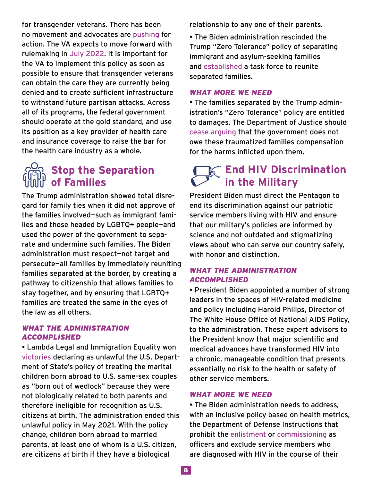for transgender veterans. There has been no movement and advocates are [pushing](https://www.military.com/daily-news/2021/12/20/va-said-it-would-cover-gender-affirmation-surgeries-trans-vets-are-still-waiting.html) for action. The VA expects to move forward with rulemaking in [July 2022.](https://www.reginfo.gov/public/do/eAgendaViewRule?pubId=202110&RIN=2900-AR34) It is important for the VA to implement this policy as soon as possible to ensure that transgender veterans can obtain the care they are currently being denied and to create sufficient infrastructure to withstand future partisan attacks. Across all of its programs, the federal government should operate at the gold standard, and use its position as a key provider of health care and insurance coverage to raise the bar for the health care industry as a whole.

## **Stop the Separation of Families**

The Trump administration showed total disregard for family ties when it did not approve of the families involved—such as immigrant families and those headed by LGBTQ+ people—and used the power of the government to separate and undermine such families. The Biden administration must respect—not target and persecute—all families by immediately reuniting families separated at the border, by creating a pathway to citizenship that allows families to stay together, and by ensuring that LGBTQ+ families are treated the same in the eyes of the law as all others.

## *What the administration accomplished*

• Lambda Legal and Immigration Equality won [victories](https://www.lambdalegal.org/blog/20201027_victory-state-dept-withdraw-citizenship-same-sex-couples) declaring as unlawful the U.S. Department of State's policy of treating the marital children born abroad to U.S. same-sex couples as "born out of wedlock" because they were not biologically related to both parents and therefore ineligible for recognition as U.S. citizens at birth. The administration ended this unlawful policy in May 2021. With the policy change, children born abroad to married parents, at least one of whom is a U.S. citizen, are citizens at birth if they have a biological

relationship to any one of their parents.

• The Biden administration rescinded the Trump "Zero Tolerance" policy of separating immigrant and asylum-seeking families and [established](https://www.whitehouse.gov/briefing-room/presidential-actions/2021/02/02/executive-order-the-establishment-of-interagency-task-force-on-the-reunification-of-families/) a task force to reunite separated families.

## *What more we need*

• The families separated by the Trump administration's "Zero Tolerance" policy are entitled to damages. The Department of Justice should [cease arguing](https://www.msn.com/en-us/news/politics/biden-says-separated-migrant-families-deserve-compensation-but-in-court-justice-department-says-they-e2-80-99re-not-entitled-to-it/ar-AASInbu?ocid=uxbndlbing) that the government does not owe these traumatized families compensation for the harms inflicted upon them.

# *<b>End HIV Discrimination*  **in the Military**

President Biden must direct the Pentagon to end its discrimination against our patriotic service members living with HIV and ensure that our military's policies are informed by science and not outdated and stigmatizing views about who can serve our country safely, with honor and distinction.

## *What the administration accomplished*

• President Biden appointed a number of strong leaders in the spaces of HIV-related medicine and policy including Harold Philips, Director of The White House Office of National AIDS Policy, to the administration. These expert advisors to the President know that major scientific and medical advances have transformed HIV into a chronic, manageable condition that presents essentially no risk to the health or safety of other service members.

## *What more we need*

• The Biden administration needs to address, with an inclusive policy based on health metrics, the Department of Defense Instructions that prohibit the [enlistment](https://www.esd.whs.mil/Portals/54/Documents/DD/issuances/dodi/648501p.pdf) or [commissioning](https://www.esd.whs.mil/Portals/54/Documents/DD/issuances/dodi/613003v2p.pdf?ver=2020-09-04-120013-383) as officers and exclude service members who are diagnosed with HIV in the course of their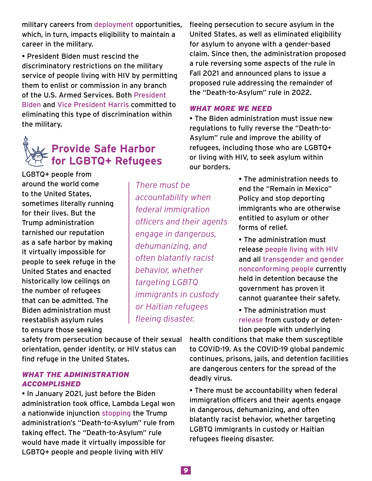military careers from [deployment](https://www.esd.whs.mil/Portals/54/Documents/DD/issuances/dodi/649007p.pdf) opportunities, which, in turn, impacts eligibility to maintain a career in the military.

• President Biden must rescind the discriminatory restrictions on the military service of people living with HIV by permitting them to enlist or commission in any branch of the U.S. Armed Services. Both [President](https://www.aidsunited.org/data/files/Site_18/Policy/2020/Biden_HIVSurvey_2020.pdf)  [Biden](https://www.aidsunited.org/data/files/Site_18/Policy/2020/Biden_HIVSurvey_2020.pdf) and [Vice President Harris](https://www.aidsunited.org/data/files/Site_18/Policy/2020/Harris_HIVSurvey_2020.pdf) committed to eliminating this type of discrimination within the military.

# **Provide Safe Harbor for LGBTQ+ Refugees**

LGBTQ+ people from around the world come to the United States, sometimes literally running for their lives. But the Trump administration tarnished our reputation as a safe harbor by making it virtually impossible for people to seek refuge in the United States and enacted historically low ceilings on the number of refugees that can be admitted. The Biden administration must reestablish asylum rules to ensure those seeking

*There must be accountability when federal immigration officers and their agents engage in dangerous, dehumanizing, and often blatantly racist behavior, whether targeting LGBTQ immigrants in custody or Haitian refugees fleeing disaster.*

fleeing persecution to secure asylum in the United States, as well as eliminated eligibility for asylum to anyone with a gender-based claim. Since then, the administration proposed a rule reversing some aspects of the rule in Fall 2021 and announced plans to issue a proposed rule addressing the remainder of the "Death-to-Asylum" rule in 2022.

## *What more we need*

• The Biden administration must issue new regulations to fully reverse the "Death-to-Asylum" rule and improve the ability of refugees, including those who are LGBTQ+ or living with HIV, to seek asylum within our borders.

> • The administration needs to end the "Remain in Mexico" Policy and stop deporting immigrants who are otherwise entitled to asylum or other forms of relief.

• The administration must release [people living with HIV](https://www.lambdalegal.org/news/tx_20200427_ll-and-iequality-urge-ice-release-hiv-detainees) and all [transgender and gender](https://www.nbcnews.com/feature/nbc-out/serious-health-care-lapses-found-detention-center-housing-trans-migrants-n1147101)  [nonconforming people](https://www.nbcnews.com/feature/nbc-out/serious-health-care-lapses-found-detention-center-housing-trans-migrants-n1147101) currently held in detention because the government has proven it cannot guarantee their safety.

• The administration must [release](https://www.lambdalegal.org/blog/20200501_covid-19-prisons-jails-lgbtq-release) from custody or detention people with underlying

safety from persecution because of their sexual orientation, gender identity, or HIV status can find refuge in the United States.

## *What the administration accomplished*

• In January 2021, just before the Biden administration took office, Lambda Legal won a nationwide injunction [stopping](https://www.lambdalegal.org/news/federal-judge-blocks-trump-death-to-asylum-rule) the Trump administration's "Death-to-Asylum" rule from taking effect. The "Death-to-Asylum" rule would have made it virtually impossible for LGBTQ+ people and people living with HIV

health conditions that make them susceptible to COVID-19. As the COVID-19 global pandemic continues, prisons, jails, and detention facilities are dangerous centers for the spread of the deadly virus.

• There must be accountability when federal immigration officers and their agents engage in dangerous, dehumanizing, and often blatantly racist behavior, whether targeting LGBTQ immigrants in custody or Haitian refugees fleeing disaster.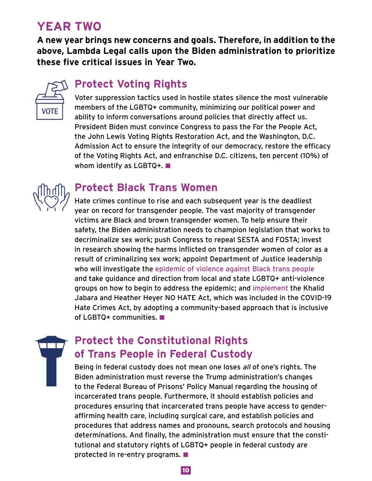# **Year Two**

**A new year brings new concerns and goals. Therefore, in addition to the above, Lambda Legal calls upon the Biden administration to prioritize these five critical issues in Year Two.**



## **Protect Voting Rights**

Voter suppression tactics used in hostile states silence the most vulnerable members of the LGBTQ+ community, minimizing our political power and ability to inform conversations around policies that directly affect us. President Biden must convince Congress to pass the For the People Act, the John Lewis Voting Rights Restoration Act, and the Washington, D.C. Admission Act to ensure the integrity of our democracy, restore the efficacy of the Voting Rights Act, and enfranchise D.C. citizens, ten percent (10�) of whom identify as LGBTQ+. ■



## **Protect Black Trans Women**

Hate crimes continue to rise and each subsequent year is the deadliest year on record for transgender people. The vast majority of transgender victims are Black and brown transgender women. To help ensure their safety, the Biden administration needs to champion legislation that works to decriminalize sex work; push Congress to repeal SESTA and FOSTA; invest in research showing the harms inflicted on transgender women of color as a result of criminalizing sex work; appoint Department of Justice leadership who will investigate the [epidemic of violence against Black trans people](https://www.usatoday.com/story/news/nation/2020/10/14/transgender-murders-reach-least-32-year-surpassing-record/3639313001/) and take guidance and direction from local and state LGBTQ+ anti-violence groups on how to begin to address the epidemic; and [implement](https://civilrights.org/resource/letter-to-the-department-of-justice-on-the-jabara-and-heather-heyer-no-hate-act-implementation/) the Khalid Jabara and Heather Heyer NO HATE Act, which was included in the COVID-19 Hate Crimes Act, by adopting a community-based approach that is inclusive of LGBTQ+ communities.

# **Protect the Constitutional Rights of Trans People in Federal Custody**

Being in federal custody does not mean one loses all of one's rights. The Biden administration must reverse the Trump administration's changes to the Federal Bureau of Prisons' Policy Manual regarding the housing of incarcerated trans people. Furthermore, it should establish policies and procedures ensuring that incarcerated trans people have access to genderaffirming health care, including surgical care, and establish policies and procedures that address names and pronouns, search protocols and housing determinations. And finally, the administration must ensure that the constitutional and statutory rights of LGBTQ+ people in federal custody are protected in re-entry programs.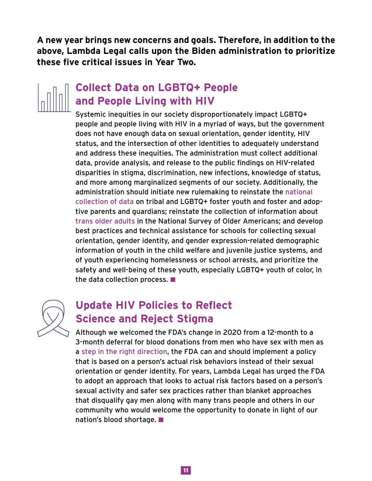**A new year brings new concerns and goals. Therefore, in addition to the above, Lambda Legal calls upon the Biden administration to prioritize these five critical issues in Year Two.**

# **Collect Data on LGBTQ+ People and People Living with HIV**

Systemic inequities in our society disproportionately impact LGBTQ+ people and people living with HIV in a myriad of ways, but the government does not have enough data on sexual orientation, gender identity, HIV status, and the intersection of other identities to adequately understand and address these inequities. The administration must collect additional data, provide analysis, and release to the public findings on HIV-related disparities in stigma, discrimination, new infections, knowledge of status, and more among marginalized segments of our society. Additionally, the administration should initiate new rulemaking to reinstate the [national](https://www.washingtonblade.com/2020/08/27/hhs-sued-for-ending-data-collection-on-lgbtq-native-american-youth-in-foster-care/)  [collection of data](https://www.washingtonblade.com/2020/08/27/hhs-sued-for-ending-data-collection-on-lgbtq-native-american-youth-in-foster-care/) on tribal and LGBTQ+ foster youth and foster and adoptive parents and guardians; reinstate the collection of information about [trans older adults](https://www.nbcnews.com/feature/nbc-out/trump-administration-removes-lgbtq-questions-elderly-survey-n735741) in the National Survey of Older Americans; and develop best practices and technical assistance for schools for collecting sexual orientation, gender identity, and gender expression-related demographic information of youth in the child welfare and juvenile justice systems, and of youth experiencing homelessness or school arrests, and prioritize the safety and well-being of these youth, especially LGBTQ+ youth of color, in the data collection process.



## **Update HIV Policies to Reflect Science and Reject Stigma**

Although we welcomed the FDA's change in 2020 from a 12-month to a 3-month deferral for blood donations from men who have sex with men as a [step in the right direction](https://www.lambdalegal.org/blog/20200402_new-blood-donation-policy-falls-short), the FDA can and should implement a policy that is based on a person's actual risk behaviors instead of their sexual orientation or gender identity. For years, Lambda Legal has urged the FDA to adopt an approach that looks to actual risk factors based on a person's sexual activity and safer sex practices rather than blanket approaches that disqualify gay men along with many trans people and others in our community who would welcome the opportunity to donate in light of our nation's blood shortage.